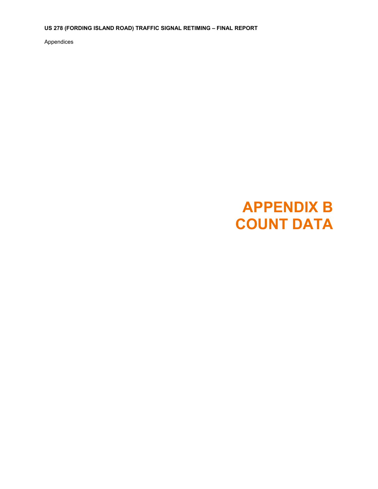**US 278 (FORDING ISLAND ROAD) TRAFFIC SIGNAL RETIMING – FINAL REPORT** 

Appendices

# **APPENDIX B COUNT DATA**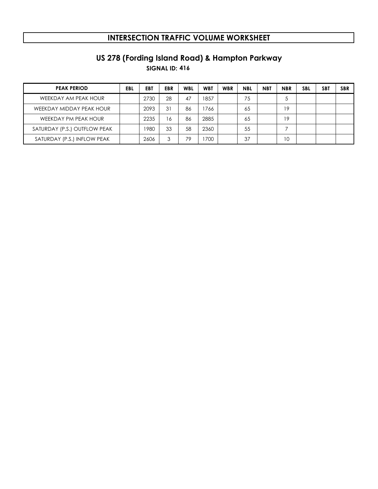# **SIGNAL ID: 416 US 278 (Fording Island Road) & Hampton Parkway**

| <b>PEAK PERIOD</b>           | <b>EBL</b> | EBT  | <b>EBR</b> | <b>WBL</b> | <b>WBT</b> | <b>WBR</b> | <b>NBL</b> | <b>NBT</b> | <b>NBR</b> | <b>SBL</b> | <b>SBT</b> | <b>SBR</b> |
|------------------------------|------------|------|------------|------------|------------|------------|------------|------------|------------|------------|------------|------------|
| WEEKDAY AM PEAK HOUR         |            | 2730 | 28         | 47         | 1857       |            | 75         |            | Ċ          |            |            |            |
| WEEKDAY MIDDAY PEAK HOUR     |            | 2093 | 31         | 86         | 766        |            | 65         |            | 19         |            |            |            |
| WEEKDAY PM PEAK HOUR         |            | 2235 | 16         | 86         | 2885       |            | 65         |            | 19         |            |            |            |
| SATURDAY (P.S.) OUTFLOW PEAK |            | 1980 | 33         | 58         | 2360       |            | 55         |            |            |            |            |            |
| SATURDAY (P.S.) INFLOW PEAK  |            | 2606 |            | 79         | 700        |            | 37         |            | 10         |            |            |            |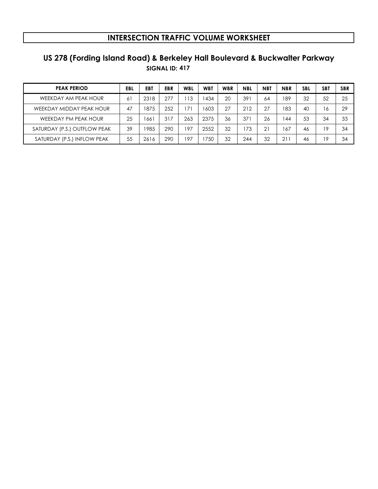# **SIGNAL ID: 417 US 278 (Fording Island Road) & Berkeley Hall Boulevard & Buckwalter Parkway**

| <b>PEAK PERIOD</b>           | EBL | EB1  | <b>EBR</b> | WBL | <b>WBT</b> | <b>WBR</b> | <b>NBL</b> | <b>NBT</b>  | <b>NBR</b> | <b>SBL</b> | SB1 | <b>SBR</b> |
|------------------------------|-----|------|------------|-----|------------|------------|------------|-------------|------------|------------|-----|------------|
| WEEKDAY AM PEAK HOUR         | 6   | 2318 | 277        | 113 | 434        | 20         | 39         | 64          | 189        | 32         | 52  | 25         |
| WEEKDAY MIDDAY PEAK HOUR     | 47  | 875  | 252        | 17' | 1603       | 27         | 212        | 27          | 183        | 40         | 16  | 29         |
| WEEKDAY PM PEAK HOUR         | 25  | 66   | 317        | 263 | 2375       | 36         | $37^\circ$ | 26          | 44         | 53         | 34  | 33         |
| SATURDAY (P.S.) OUTFLOW PEAK | 39  | 985  | 290        | 197 | 2552       | 32         | 173        | $2^{\circ}$ | 167        | 46         | 19  | 34         |
| SATURDAY (P.S.) INFLOW PEAK  | 55  | 2616 | 290        | 197 | 750        | 32         | 244        | 32          | 21         | 46         | 19  | 34         |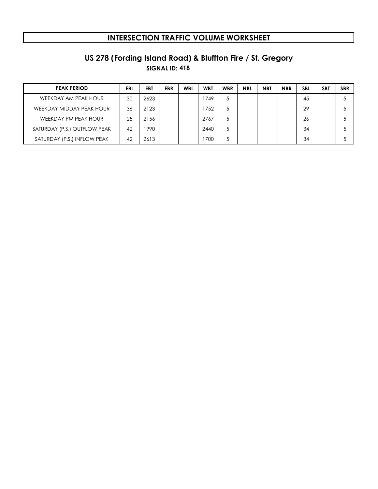# **SIGNAL ID: 418 US 278 (Fording Island Road) & Bluffton Fire / St. Gregory**

| <b>PEAK PERIOD</b>           | EBL | EBT  | <b>EBR</b> | <b>WBL</b> | <b>WBT</b> | <b>WBR</b> | <b>NBL</b> | <b>NBT</b> | <b>NBR</b> | <b>SBL</b> | <b>SBT</b> | <b>SBR</b> |
|------------------------------|-----|------|------------|------------|------------|------------|------------|------------|------------|------------|------------|------------|
| WEEKDAY AM PEAK HOUR         | 30  | 2623 |            |            | 1749       | 5          |            |            |            | 45         |            |            |
| WEEKDAY MIDDAY PEAK HOUR     | 36  | 2123 |            |            | 1752       | 5          |            |            |            | 29         |            |            |
| WEEKDAY PM PEAK HOUR         | 25  | 2156 |            |            | 2767       | 5          |            |            |            | 26         |            |            |
| SATURDAY (P.S.) OUTFLOW PEAK | 42  | 1990 |            |            | 2440       | 5          |            |            |            | 34         |            |            |
| SATURDAY (P.S.) INFLOW PEAK  | 42  | 2613 |            |            | 1700       | 5          |            |            |            | 34         |            |            |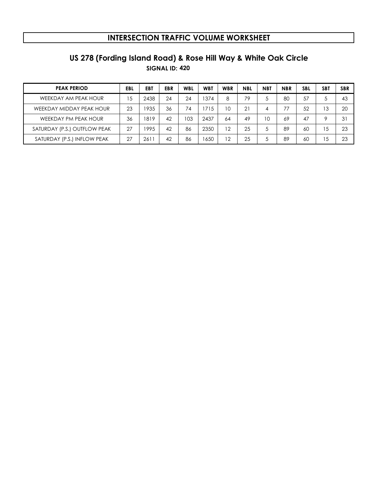# **SIGNAL ID: 420 US 278 (Fording Island Road) & Rose Hill Way & White Oak Circle**

| <b>PEAK PERIOD</b>           | <b>EBL</b> | <b>EB1</b> | <b>EBR</b> | <b>WBL</b> | <b>WBT</b> | <b>WBR</b> | <b>NBL</b>  | <b>NBT</b> | <b>NBR</b> | <b>SBL</b> | SB1 | <b>SBR</b> |
|------------------------------|------------|------------|------------|------------|------------|------------|-------------|------------|------------|------------|-----|------------|
| WEEKDAY AM PEAK HOUR         | 15         | 2438       | 24         | 24         | 374        | 8          | 79          |            | 80         | 57         | 5   | 43         |
| WEEKDAY MIDDAY PEAK HOUR     | 23         | 1935       | 36         | 74         | 1715       | 10         | $2^{\circ}$ | 4          |            | 52         | 13  | 20         |
| WEEKDAY PM PEAK HOUR         | 36         | 1819       | 42         | 103        | 2437       | 64         | 49          | 10         | 69         | 47         | 9   | 3          |
| SATURDAY (P.S.) OUTFLOW PEAK | 27         | 995        | 42         | 86         | 2350       | 12         | 25          |            | 89         | 60         | 15  | 23         |
| SATURDAY (P.S.) INFLOW PEAK  | 27         | 261        | 42         | 86         | 1650       | 12         | 25          |            | 89         | 60         | 15  | 23         |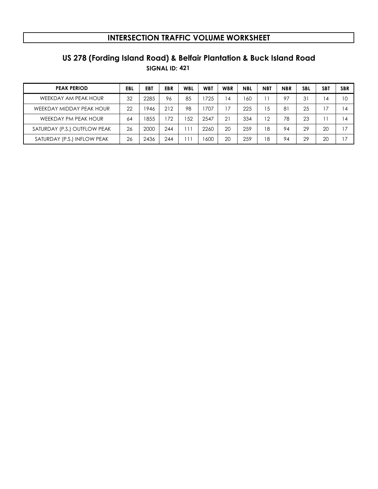# **SIGNAL ID: 421 US 278 (Fording Island Road) & Belfair Plantation & Buck Island Road**

| <b>PEAK PERIOD</b>           | EBL | EB1  | <b>EBR</b> | WBL | <b>WBT</b> | <b>WBR</b> | <b>NBL</b> | <b>NBT</b> | <b>NBR</b> | <b>SBL</b> | SB <sub>1</sub> | <b>SBR</b>               |
|------------------------------|-----|------|------------|-----|------------|------------|------------|------------|------------|------------|-----------------|--------------------------|
| WEEKDAY AM PEAK HOUR         | 32  | 2285 | 96         | 85  | 725        | 14         | 160        |            | 97         | 31         | 4               | 10                       |
| WEEKDAY MIDDAY PEAK HOUR     | 22  | 946  | 212        | 98  | 707        | 17         | 225        | 15         | 8          | 25         |                 | $\overline{\mathcal{A}}$ |
| WEEKDAY PM PEAK HOUR         | 64  | 855  | 172        | 152 | 2547       | 21         | 334        | 12         | 78         | 23         |                 | 4                        |
| SATURDAY (P.S.) OUTFLOW PEAK | 26  | 2000 | 244        | 11' | 2260       | 20         | 259        | 18         | 94         | 29         | 20              | , 7                      |
| SATURDAY (P.S.) INFLOW PEAK  | 26  | 2436 | 244        | 11  | 1600       | 20         | 259        | 18         | 94         | 29         | 20              | 7                        |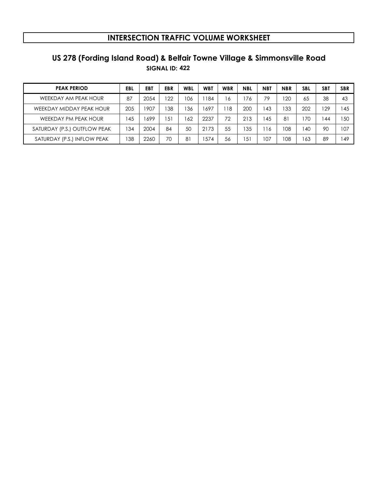# **SIGNAL ID: 422 US 278 (Fording Island Road) & Belfair Towne Village & Simmonsville Road**

| <b>PEAK PERIOD</b>           | EBL | EBT  | EBR | WBL | <b>WBT</b> | <b>WBR</b> | <b>NBL</b> | <b>NBT</b> | <b>NBR</b>   | <b>SBL</b> | <b>SBT</b> | <b>SBR</b> |
|------------------------------|-----|------|-----|-----|------------|------------|------------|------------|--------------|------------|------------|------------|
| WEEKDAY AM PEAK HOUR         | 87  | 2054 | 122 | 106 | 184        | 16         | 76         | 79         | $20^{\circ}$ | 65         | 38         | 43         |
| WEEKDAY MIDDAY PEAK HOUR     | 205 | 1907 | 38  | 136 | 697ء       | 18         | 200        | -43        | 133          | 202        | 129        | 45         |
| WEEKDAY PM PEAK HOUR         | 45  | 699  | 51  | 162 | 2237       | 72         | 213        | 45         | 81           | 70         | 44         | 50         |
| SATURDAY (P.S.) OUTFLOW PEAK | 34  | 2004 | 84  | 50  | 2173       | 55         | 35ء        | 16         | 108          | 40         | 90         | 107        |
| SATURDAY (P.S.) INFLOW PEAK  | '38 | 2260 | 70  | 81  | 574        | 56         | 151        | 107        | 108          | 63         | 89         | 49ء        |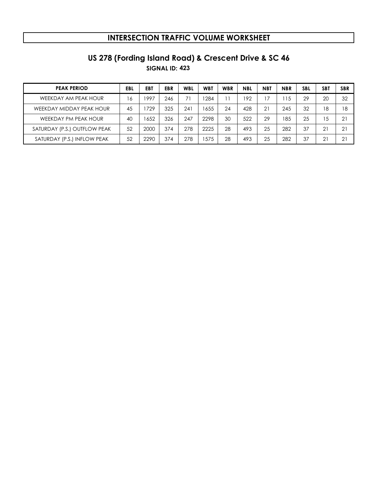# **US 278 (Fording Island Road) & Crescent Drive & SC 46**

**SIGNAL ID: 423**

| <b>PEAK PERIOD</b>           | EBL | EBT  | EBR | <b>WBL</b> | <b>WBT</b> | <b>WBR</b> | <b>NBL</b> | <b>NBT</b> | <b>NBR</b> | <b>SBL</b> | SB1 | <b>SBR</b>  |
|------------------------------|-----|------|-----|------------|------------|------------|------------|------------|------------|------------|-----|-------------|
| WEEKDAY AM PEAK HOUR         | 16  | 1997 | 246 |            | 284        |            | 192        |            | 15         | 29         | 20  | 32          |
| WEEKDAY MIDDAY PEAK HOUR     | 45  | 729  | 325 | 241        | 1655       | 24         | 428        | 21         | 245        | 32         | 18  | 18          |
| WEEKDAY PM PEAK HOUR         | 40  | 1652 | 326 | 247        | 2298       | 30         | 522        | 29         | 185        | 25         | 15  | $2^{\circ}$ |
| SATURDAY (P.S.) OUTFLOW PEAK | 52  | 2000 | 374 | 278        | 2225       | 28         | 493        | 25         | 282        | 37         | 21  | $2^{\circ}$ |
| SATURDAY (P.S.) INFLOW PEAK  | 52  | 2290 | 374 | 278        | 575ء       | 28         | 493        | 25         | 282        | 37         | 21  | $2^{\circ}$ |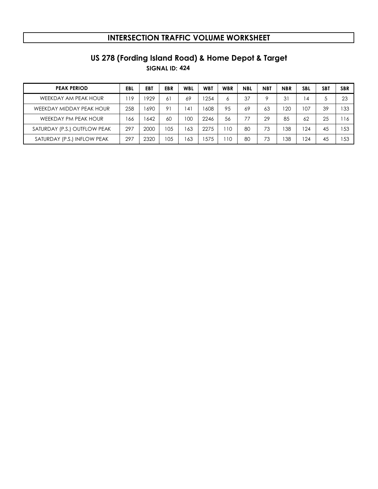# **SIGNAL ID: 424 US 278 (Fording Island Road) & Home Depot & Target**

| <b>PEAK PERIOD</b>           | EBL | <b>EB1</b> | <b>EBR</b> | <b>WBL</b>     | <b>WBT</b> | <b>WBR</b> | <b>NBL</b> | <b>NBT</b> | <b>NBR</b> | <b>SBL</b> | SB1 | <b>SBR</b> |
|------------------------------|-----|------------|------------|----------------|------------|------------|------------|------------|------------|------------|-----|------------|
| WEEKDAY AM PEAK HOUR         | 19  | 929        | 61         | 69             | 254        | 6          | 37         |            | 31         | 14         | 5   | 23         |
| WEEKDAY MIDDAY PEAK HOUR     | 258 | 690        | 91         | $\overline{4}$ | 1608       | 95         | 69         | 63         | 20         | 07         | 39  | 133        |
| WEEKDAY PM PEAK HOUR         | 166 | 642        | 60         | 100            | 2246       | 56         |            | 29         | 85         | 62         | 25  | 16         |
| SATURDAY (P.S.) OUTFLOW PEAK | 297 | 2000       | 105        | 63             | 2275       | 10         | <b>80</b>  | 73         | 38         | 124        | 45  | 153        |
| SATURDAY (P.S.) INFLOW PEAK  | 297 | 2320       | 105        | 63             | 575        | 10         | 8C         | 73         | 38         | 124        | 45  | 153        |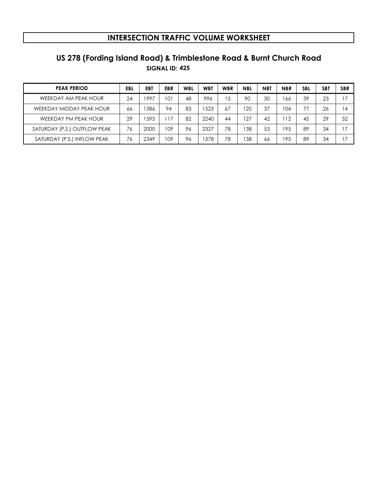# **SIGNAL ID: 425 US 278 (Fording Island Road) & Trimblestone Road & Burnt Church Road**

| <b>PEAK PERIOD</b>           | EBL | EBT  | <b>EBR</b> | <b>WBL</b> | <b>WBT</b> | <b>WBR</b> | <b>NBL</b> | <b>NBT</b> | <b>NBR</b> | <b>SBL</b> | SB <sub>1</sub> | <b>SBR</b> |
|------------------------------|-----|------|------------|------------|------------|------------|------------|------------|------------|------------|-----------------|------------|
| WEEKDAY AM PEAK HOUR         | 24  | 997  | 101        | 48         | 996        | 15         | 90         | 30         | 166        | 39         | 23              | 7          |
| WEEKDAY MIDDAY PEAK HOUR     | 66  | 586  | 94         | 83         | 523        | 67         | 120        | 37         | 104        | 77         | 26              | 4          |
| WEEKDAY PM PEAK HOUR         | 29  | 595  | 17         | 82         | 2240       | 44         | 127        | 42         | 12         | 45         | 29              | 32         |
| SATURDAY (P.S.) OUTFLOW PEAK | 76  | 2000 | 109        | 96         | 2327       | 78         | 138        | 53         | 195        | 89         | 34              | . 7        |
| SATURDAY (P.S.) INFLOW PEAK  | 76  | 2349 | 109        | 96         | 578        | 78         | 138        | 66         | 195        | 89         | 34              |            |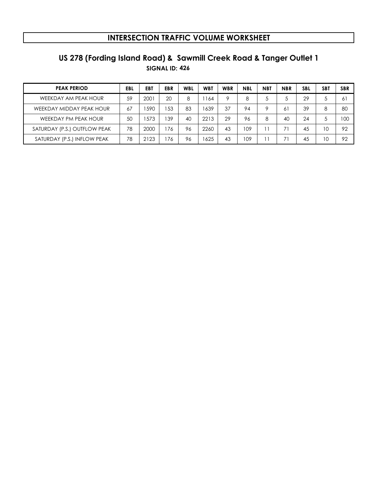# **SIGNAL ID: 426 US 278 (Fording Island Road) & Sawmill Creek Road & Tanger Outlet 1**

| <b>PEAK PERIOD</b>           | EBL | EB1  | <b>EBR</b> | <b>WBL</b> | <b>WBT</b> | <b>WBR</b> | <b>NBL</b> | <b>NBT</b> | <b>NBR</b> | <b>SBL</b> | SB <sub>1</sub> | <b>SBR</b> |
|------------------------------|-----|------|------------|------------|------------|------------|------------|------------|------------|------------|-----------------|------------|
| WEEKDAY AM PEAK HOUR         | 59  | 2001 | 20         | 8          | 164        | 9          | 8          |            |            | 29         | Ċ               | 6          |
| WEEKDAY MIDDAY PEAK HOUR     | 67  | 590  | 53         | 83         | 1639       | 37         | 94         | $\circ$    | 6          | 39         | 8               | 80         |
| WEEKDAY PM PEAK HOUR         | 50  | 573  | 39         | 40         | 2213       | 29         | 96         | 8          | 40         | 24         | Ċ.              | 100        |
| SATURDAY (P.S.) OUTFLOW PEAK | 78  | 2000 | 176        | 96         | 2260       | 43         | 109        |            | 71         | 45         | 10              | 92         |
| SATURDAY (P.S.) INFLOW PEAK  | 78  | 2123 | 176        | 96         | 1625       | 43         | 109        |            |            | 45         | 10              | 92         |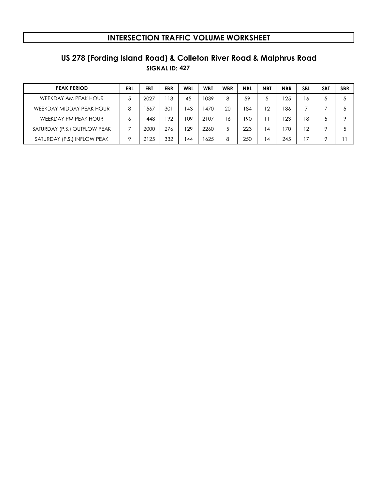# **SIGNAL ID: 427 US 278 (Fording Island Road) & Colleton River Road & Malphrus Road**

| <b>PEAK PERIOD</b>           | EBL     | <b>EB1</b> | <b>EBR</b> | <b>WBL</b> | <b>WBT</b> | <b>WBR</b> | <b>NBL</b> | <b>NBT</b>     | <b>NBR</b> | <b>SBL</b> | SB1 | <b>SBR</b> |
|------------------------------|---------|------------|------------|------------|------------|------------|------------|----------------|------------|------------|-----|------------|
| WEEKDAY AM PEAK HOUR         |         | 2027       | 13         | 45         | 1039       | 8          | 59         |                | 25         | 6          | 5   |            |
| WEEKDAY MIDDAY PEAK HOUR     | 8       | 567ء       | 301        | 43         | 470        | 20         | 84         | 12             | 186        |            |     |            |
| WEEKDAY PM PEAK HOUR         | c       | 448        | 192        | <b>09</b>  | 2107       | 16         | ' 90       |                | 23         | 18         | 5   |            |
| SATURDAY (P.S.) OUTFLOW PEAK |         | 2000       | 276        | 29         | 2260       | 5          | 223        | $\overline{4}$ | 70         | 12         | 9   |            |
| SATURDAY (P.S.) INFLOW PEAK  | $\circ$ | 2125       | 332        | 44         | 625        | 8          | 250        | $\overline{4}$ | 245        | 7          | Q   |            |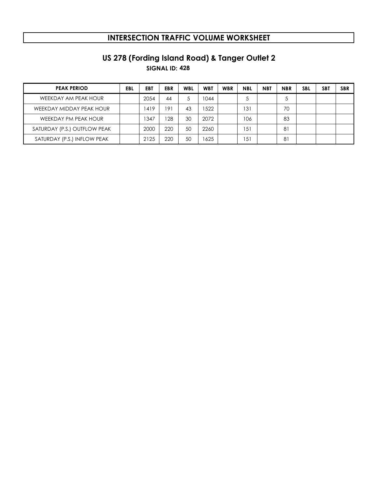**SIGNAL ID: 428 US 278 (Fording Island Road) & Tanger Outlet 2**

| <b>PEAK PERIOD</b>           | EBL | <b>EB1</b> | <b>EBR</b> | <b>WBL</b> | <b>WBT</b> | <b>WBR</b> | <b>NBL</b> | <b>NBT</b> | <b>NBR</b> | <b>SBL</b> | SB <sub>1</sub> | <b>SBR</b> |
|------------------------------|-----|------------|------------|------------|------------|------------|------------|------------|------------|------------|-----------------|------------|
| WEEKDAY AM PEAK HOUR         |     | 2054       | 44         | 5          | 044        |            |            |            | 5          |            |                 |            |
| WEEKDAY MIDDAY PEAK HOUR     |     | 419        | 191        | 43         | 1522       |            | '31        |            | 70         |            |                 |            |
| WEEKDAY PM PEAK HOUR         |     | 347        | 128        | 30         | 2072       |            | 106        |            | 83         |            |                 |            |
| SATURDAY (P.S.) OUTFLOW PEAK |     | 2000       | 220        | 50         | 2260       |            | 5          |            | 81         |            |                 |            |
| SATURDAY (P.S.) INFLOW PEAK  |     | 2125       | 220        | 50         | 1625       |            | 151        |            | 81         |            |                 |            |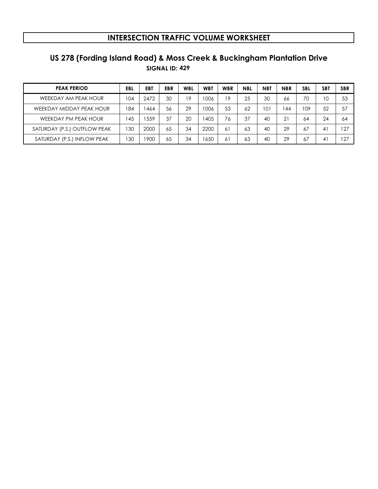# **SIGNAL ID: 429 US 278 (Fording Island Road) & Moss Creek & Buckingham Plantation Drive**

| <b>PEAK PERIOD</b>           | EBL          | EBT  | <b>EBR</b> | <b>WBL</b> | <b>WBT</b> | <b>WBR</b> | <b>NBL</b> | <b>NBT</b> | <b>NBR</b> | <b>SBL</b> | SB <sub>1</sub>      | <b>SBR</b> |
|------------------------------|--------------|------|------------|------------|------------|------------|------------|------------|------------|------------|----------------------|------------|
| WEEKDAY AM PEAK HOUR         | 104          | 2472 | 30         | 19         | 006        | 19         | 25         | 30         | 66         | 70         | 10                   | 53         |
| WEEKDAY MIDDAY PEAK HOUR     | 184          | 464  | 56         | 29         | 006        | 53         | 62         | 101        | 144        | 109        | 52                   | 57         |
| WEEKDAY PM PEAK HOUR         | 45           | 559  | 37         | 20         | 405        | 76         | 37         | 40         | 21         | 64         | 24                   | 64         |
| SATURDAY (P.S.) OUTFLOW PEAK | $30^{\circ}$ | 2000 | 65         | 34         | 2200       | 61         | 63         | 40         | 29         | 67         | $\mathbf{4}^{\cdot}$ | 127        |
| SATURDAY (P.S.) INFLOW PEAK  | 130          | 900  | 65         | 34         | 650ء       | 61         | 63         | 40         | 29         | 67         | $\mathbf{4}^{\cdot}$ | 127        |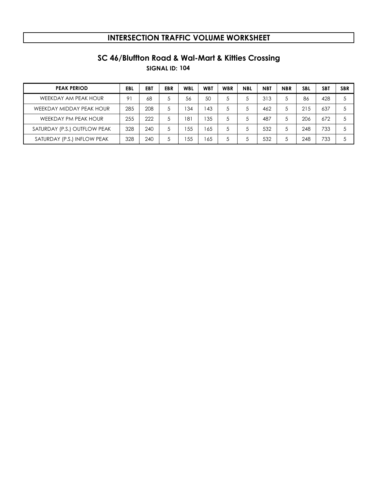# **SC 46/Bluffton Road & Wal-Mart & Kitties Crossing**

**SIGNAL ID: 104**

| <b>PEAK PERIOD</b>           | EBL | EBT | EBR | <b>WBL</b> | <b>WBT</b> | <b>WBR</b> | <b>NBL</b> | <b>NBT</b> | <b>NBR</b> | <b>SBL</b> | SB1 | <b>SBR</b> |
|------------------------------|-----|-----|-----|------------|------------|------------|------------|------------|------------|------------|-----|------------|
| WEEKDAY AM PEAK HOUR         | 91  | 68  |     | 56         | 50         | 5          |            | 313        |            | 86         | 428 |            |
| WEEKDAY MIDDAY PEAK HOUR     | 285 | 208 |     | 34         | 43         | 5          |            | 462        | 5          | 215        | 637 |            |
| WEEKDAY PM PEAK HOUR         | 255 | 222 |     | 181        | 35         | 5          |            | 487        |            | 206        | 672 |            |
| SATURDAY (P.S.) OUTFLOW PEAK | 328 | 240 |     | 55         | 65         | 5          |            | 532        |            | 248        | 733 |            |
| SATURDAY (P.S.) INFLOW PEAK  | 328 | 240 |     | .55        | 65         | 5          |            | 532        |            | 248        | 733 |            |